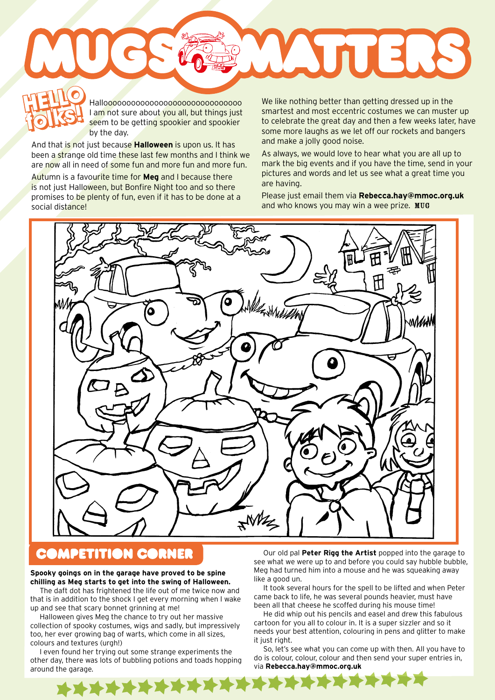Halloooooooooooooooooooooooooooooo I am not sure about you all, but things just seem to be getting spookier and spookier by the day. **HELLO folks! HELLO** 

And that is not just because **Halloween** is upon us. It has been a strange old time these last few months and I think we are now all in need of some fun and more fun and more fun.

Autumn is a favourite time for **Meg** and I because there is not just Halloween, but Bonfire Night too and so there promises to be plenty of fun, even if it has to be done at a social distance!

**folks!** We like nothing better than getting dressed up in the smartest and most eccentric costumes we can muster up to celebrate the great day and then a few weeks later, have some more laughs as we let off our rockets and bangers and make a jolly good noise.

**Index** 

As always, we would love to hear what you are all up to mark the big events and if you have the time, send in your pictures and words and let us see what a great time you are having.

Please just email them via **Rebecca.hay@mmoc.org.uk** and who knows you may win a wee prize. MUG



## **COMPETITION CORNER**

## **Spooky goings on in the garage have proved to be spine chilling as Meg starts to get into the swing of Halloween.**

The daft dot has frightened the life out of me twice now and that is in addition to the shock I get every morning when I wake up and see that scary bonnet grinning at me!

Halloween gives Meg the chance to try out her massive collection of spooky costumes, wigs and sadly, but impressively too, her ever growing bag of warts, which come in all sizes, colours and textures (urgh!)

I even found her trying out some strange experiments the other day, there was lots of bubbling potions and toads hopping around the garage.

Our old pal **Peter Rigg the Artist** popped into the garage to see what we were up to and before you could say hubble bubble. Meg had turned him into a mouse and he was squeaking away like a good un.

It took several hours for the spell to be lifted and when Peter came back to life, he was several pounds heavier, must have been all that cheese he scoffed during his mouse time!

He did whip out his pencils and easel and drew this fabulous cartoon for you all to colour in. It is a super sizzler and so it needs your best attention, colouring in pens and glitter to make it just right.

So, let's see what you can come up with then. All you have to do is colour, colour, colour and then send your super entries in, via **Rebecca.hay@mmoc.org.uk**